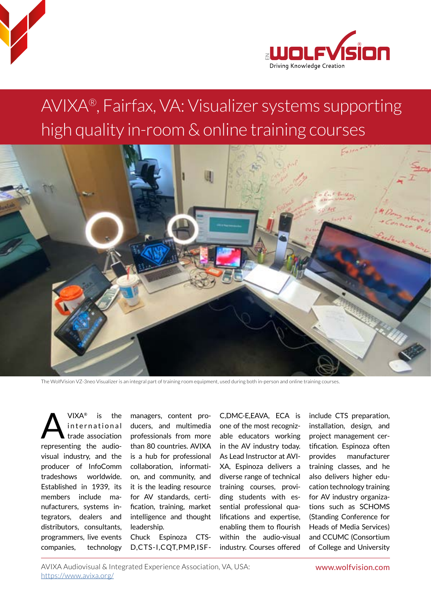



## AVIXA®, Fairfax, VA: Visualizer systems supporting Binting Knowledge Creation<br>AVIXA®, Fairfax, VA: Visualizer systems suppc<br>high quality in-room & online training courses



The WolfVision VZ-3neo Visualizer is an integral part of training room equipment, used during both in-person and online training courses.

VIXA® is the<br>international<br>trade association international trade association representing the audiovisual industry, and the producer of InfoComm tradeshows worldwide. Established in 1939, its members include manufacturers, systems integrators, dealers and distributors, consultants, programmers, live events companies, technology

managers, content producers, and multimedia professionals from more than 80 countries. AVIXA is a hub for professional collaboration, information, and community, and it is the leading resource for AV standards, certification, training, market intelligence and thought leadership.

Chuck Espinoza CTS-D,CTS-I,CQT,PMP,ISF-

C,DMC-E,EAVA, ECA is one of the most recognizable educators working in the AV industry today. As Lead Instructor at AVI-XA, Espinoza delivers a diverse range of technical training courses, providing students with essential professional qualifications and expertise, enabling them to flourish within the audio-visual industry. Courses offered

include CTS preparation, installation, design, and project management certification. Espinoza often provides manufacturer training classes, and he also delivers higher education technology training for AV industry organizations such as SCHOMS (Standing Conference for Heads of Media Services) and CCUMC (Consortium of College and University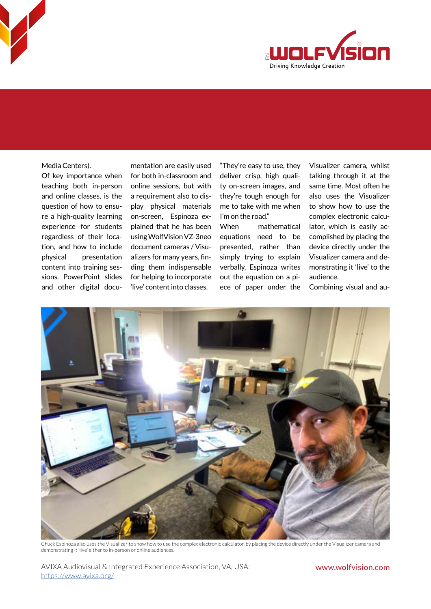

Media Centers).

Of key importance when teaching both in-person and online classes, is the question of how to ensure a high-quality learning experience for students regardless of their location, and how to include physical presentation content into training sessions. PowerPoint slides and other digital docu-

mentation are easily used for both in-classroom and online sessions, but with a requirement also to display physical materials on-screen, Espinoza explained that he has been using WolfVision VZ-3neo document cameras / Visualizers for many years, finding them indispensable for helping to incorporate 'live' content into classes.

"They're easy to use, they deliver crisp, high quality on-screen images, and they're tough enough for me to take with me when I'm on the road."

When mathematical equations need to be presented, rather than simply trying to explain verbally, Espinoza writes out the equation on a piece of paper under the Visualizer camera, whilst talking through it at the same time. Most often he also uses the Visualizer to show how to use the complex electronic calculator, which is easily accomplished by placing the device directly under the Visualizer camera and demonstrating it 'live' to the audience.

Combining visual and au-



Chuck Espinoza also uses the Visualizer to show how to use the complex electronic calculator, by placing the device directly under the Visualizer camera and demonstrating it 'live' either to in-person or online audiences.

AVIXA Audiovisual & Integrated Experience Association, VA, USA: www.wolfvision.com <https://www.avixa.org/>